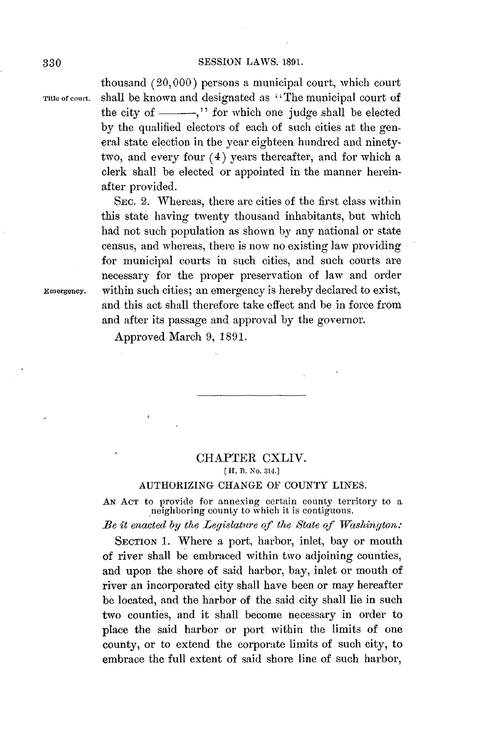## **SESSION** LAWS. **1891. 330**

thousand **(20,000)** persons a municipal court, which court **Title of court.** shall be known and designated as " The municipal court of the city of  $\frac{1}{\sqrt{2}}$ , or which one judge shall be elected **by** the qualified electors of each of such cities at the general state election in the year eighteen hundred and ninetytwo, and every four (4) years thereafter, and for which a clerk shall be elected or appointed in the manner hereinafter provided.

SEC. 2. Whereas, there are cities of the first class within this state having twenty thousand inhabitants, but which had not such population as shown **by** any national or state census, and whereas, there is now no existing law providing for municipal courts in such cities, and such courts are necessary for the proper preservation of law and order **Emergency.** within such cities; an emergency is hereby declared to exist, and this act shall therefore take effect and be in force from and after its passage and approval **by** the governor.

Approved March **9, 1891.**

## CHAPTER CXLIV. *[* **H.** B. **No. 314.]**

## AUTHORIZING **CHANGE** OF **COUNTY** LINES.

**AN AcT** to provide for annexing certain county territory to a neighboring county to which it is contiguous.

*Be it enacted by the Legislature of the State of Washington:*

SECTION **1.** Where a port, harbor, inlet, bay or mouth of river shall be embraced within two adjoining counties, and upon the shore of said harbor, bay, inlet or mouth of river an incorporated city shall have been or may hereafter be located, and the harbor of the said city shall lie in such two counties, and it shall become necessary in order to place the said harbor or port within the limits of one county, or to extend the corporate limits of such city, to embrace the full extent of said shore line of such harbor,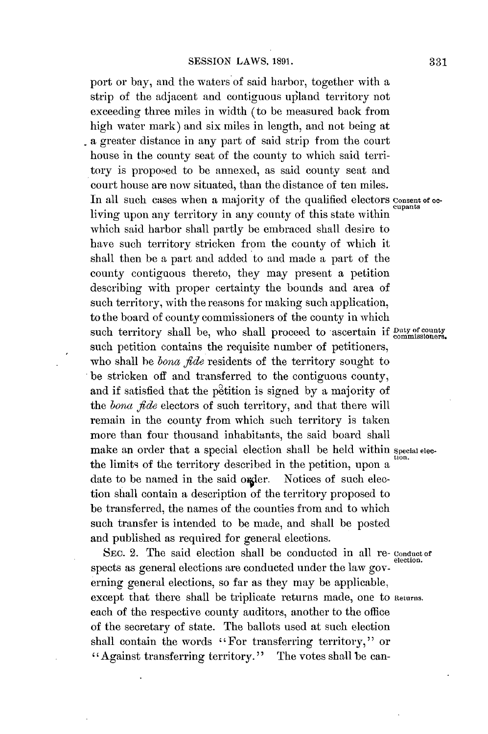port or bay, and the waters of said harbor, together with a strip of the adjacent and contiguous upland territory not exceeding three miles in width (to be measured back from high water mark) and six miles in length, and not being at a greater distance in any part of said strip from the court house in the county seat of the county to which said territory is proposed to be annexed, as said county seat and court house are now situated, than the distance of ten miles. In all such cases when a majority of the qualified electors consent of ocliving upon any territory in any county of this state within which said harbor shall partly **be** embraced shall desire to have such territory stricken from the county of which it shall then be a part and added to and made a part of the county contiguous thereto, they may present a petition describing with proper certainty the bounds and area of such territory, with the reasons for making such application, to the board of county commissioners of the county in which such territory shall be, who shall proceed to ascertain if  $_{\rm{commisioners}}^{\rm{Duty\ of\ country}}$ such petition contains the requisite number of petitioners, who shall be *bona fde* residents of the territory sought to be stricken off and transferred to the contiguous county, and if satisfied that the petition is signed by a majority of the *bona fde* electors of such territory, and that there will remain in the county from which such territory is taken more than four thousand inhabitants, the said board shall make an order that a special election shall be held within special electhe limits of the territory described in the petition, upon a date to be named in the said order. Notices of such election shall contain a description of the territory proposed to be transferred, the names of the counties from and to which such transfer is intended to be made, and shall be posted and published as required for general elections.

SEC. 2. The said election shall be conducted in all re-conductor. spects as general elections are conducted under the law governing general elections, so far as they may be applicable, except that there shall be triplicate returns made, one to **Returns.** each of the respective county auditors, another to the office of the secretary of state. The ballots used at such election shall contain the words "For transferring territory," or "Against transferring territory." The votes shall be can-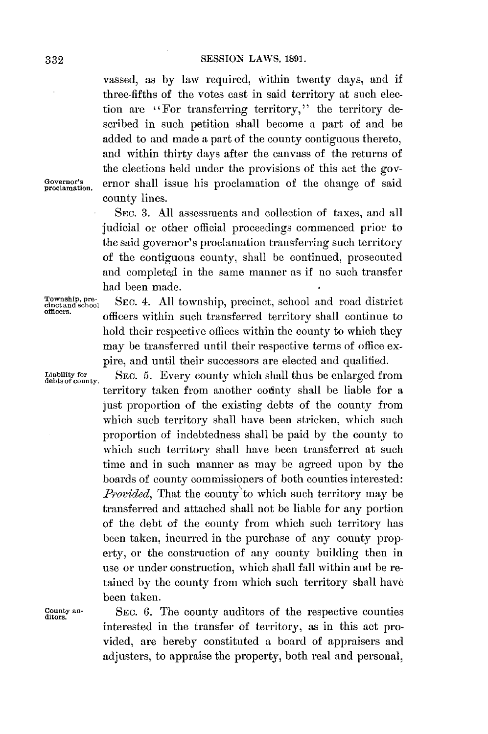vassed, as **by** law required, within twenty days, and if three-fifths of the votes cast in said territory at such election are "For transferring territory," the territory described in such petition shall become a part of and be added to and made a part of the county contiguous thereto, and within thirty days after the canvass of the returns of the elections held under the provisions of this act the gov-Governor's ernor shall issue his proclamation of the change of said county lines.

> SEc. **3. All** assessments and collection of taxes, and all judicial or other official proceedings commenced prior to the said governor's proclamation transferring such territory of the contiguous county, shall **be** continued, prosecuted and completed in the same manner as if no such transfer had been made.

Liability for<br>debts of county

Township, pre-<br>cinctand school SEC. 4. All township, precinct, school and road district<br>officers. **officers.** officers within such transferred territory shall continue to hold their respective offices within the county to which they may be transferred until their respective terms of office expire, and until their successors are elected and qualified.

> **SEC. 5. Every county which shall thus be enlarged from** territory taken from another codinty shall **be** liable for a just proportion of the existing debts of the county from which such territory shall have been stricken, which such proportion of indebtedness shall be paid **by** the county to which such territory shall have been transferred at such time and in such manner as may be agreed upon **by** the boards of county commissioners of both counties interested: *Provided*, That the county to which such territory may be transferred and attached shall not be liable for any portion of the debt of the county from which such territory has been taken, incurred in the purchase of any county property, or the construction of any county building then in use or under construction, which shall fall within and be retained **by** the county from which such territory shall have been taken.

**County au-** SEC. **6.** The county auditors of the respective counties **ditors.** interested in the transfer of territory, as in this act provided, are hereby constituted a board of appraisers and adjusters, to appraise the property, both real and personal,